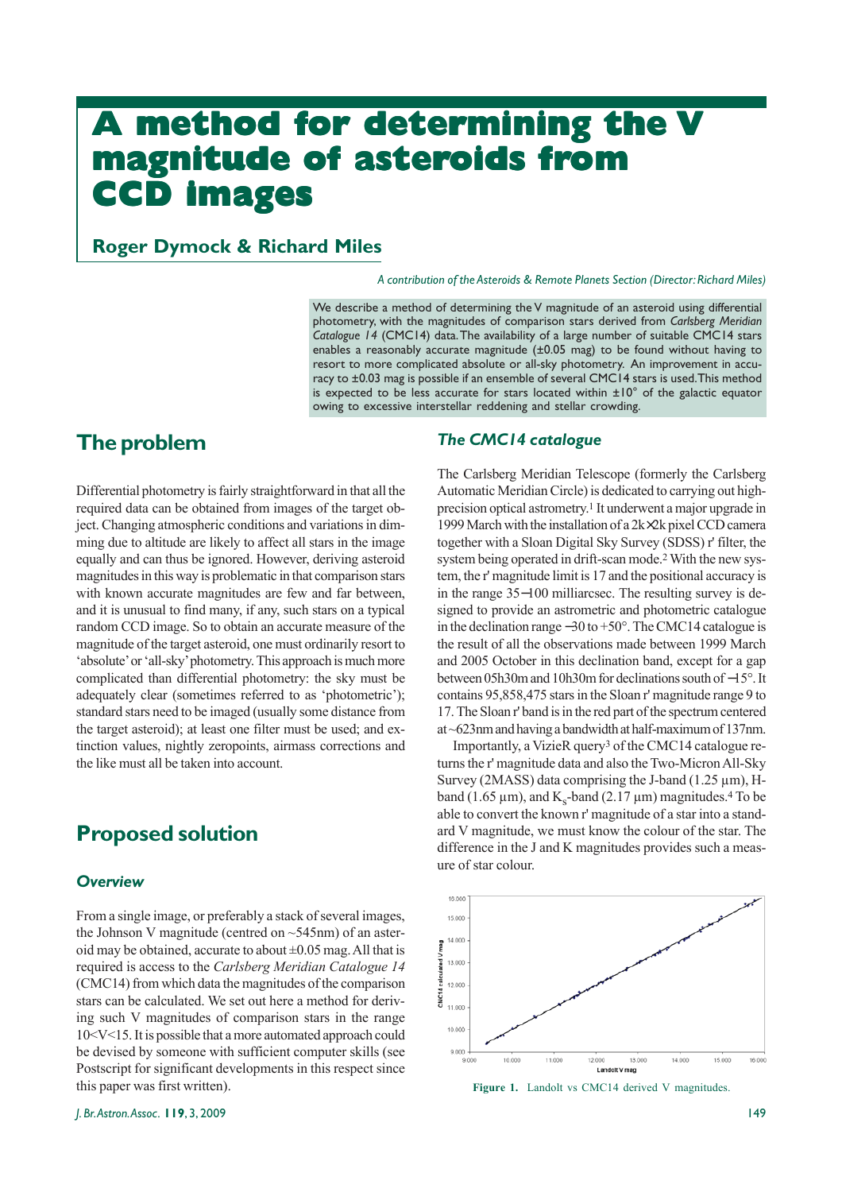# **A method for determining the V magnitude of asteroids from CCD images CCD images**

**Roger Dymock & Richard Miles**

*A contribution of the Asteroids & Remote Planets Section (Director: Richard Miles)*

We describe a method of determining the V magnitude of an asteroid using differential photometry, with the magnitudes of comparison stars derived from *Carlsberg Meridian Catalogue 14* (CMC14) data. The availability of a large number of suitable CMC14 stars enables a reasonably accurate magnitude (±0.05 mag) to be found without having to resort to more complicated absolute or all-sky photometry. An improvement in accuracy to ±0.03 mag is possible if an ensemble of several CMC14 stars is used. This method is expected to be less accurate for stars located within  $\pm 10^{\circ}$  of the galactic equator owing to excessive interstellar reddening and stellar crowding.

# **The problem**

Differential photometry is fairly straightforward in that all the required data can be obtained from images of the target object. Changing atmospheric conditions and variations in dimming due to altitude are likely to affect all stars in the image equally and can thus be ignored. However, deriving asteroid magnitudes in this way is problematic in that comparison stars with known accurate magnitudes are few and far between, and it is unusual to find many, if any, such stars on a typical random CCD image. So to obtain an accurate measure of the magnitude of the target asteroid, one must ordinarily resort to 'absolute' or 'all-sky' photometry. This approach is much more complicated than differential photometry: the sky must be adequately clear (sometimes referred to as 'photometric'); standard stars need to be imaged (usually some distance from the target asteroid); at least one filter must be used; and extinction values, nightly zeropoints, airmass corrections and the like must all be taken into account.

# **Proposed solution**

#### *Overview*

From a single image, or preferably a stack of several images, the Johnson V magnitude (centred on  $\sim$  545nm) of an asteroid may be obtained, accurate to about ±0.05 mag. All that is required is access to the *Carlsberg Meridian Catalogue 14* (CMC14) from which data the magnitudes of the comparison stars can be calculated. We set out here a method for deriving such V magnitudes of comparison stars in the range 10<V<15. It is possible that a more automated approach could be devised by someone with sufficient computer skills (see Postscript for significant developments in this respect since this paper was first written).

#### *The CMC14 catalogue*

The Carlsberg Meridian Telescope (formerly the Carlsberg Automatic Meridian Circle) is dedicated to carrying out highprecision optical astrometry.1 It underwent a major upgrade in 1999 March with the installation of a 2k×2k pixel CCD camera together with a Sloan Digital Sky Survey (SDSS) r' filter, the system being operated in drift-scan mode.<sup>2</sup> With the new system, the r' magnitude limit is 17 and the positional accuracy is in the range 35−100 milliarcsec. The resulting survey is designed to provide an astrometric and photometric catalogue in the declination range −30 to +50°. The CMC14 catalogue is the result of all the observations made between 1999 March and 2005 October in this declination band, except for a gap between 05h30m and 10h30m for declinations south of −15°. It contains 95,858,475 stars in the Sloan r' magnitude range 9 to 17. The Sloan r' band is in the red part of the spectrum centered at ~623nm and having a bandwidth at half-maximum of 137nm.

Importantly, a VizieR query3 of the CMC14 catalogue returns the r' magnitude data and also the Two-Micron All-Sky Survey (2MASS) data comprising the J-band (1.25  $\mu$ m), Hband (1.65  $\mu$ m), and K<sub>s</sub>-band (2.17  $\mu$ m) magnitudes.<sup>4</sup> To be able to convert the known r' magnitude of a star into a standard V magnitude, we must know the colour of the star. The difference in the J and K magnitudes provides such a measure of star colour.



Figure 1. Landolt vs CMC14 derived V magnitudes.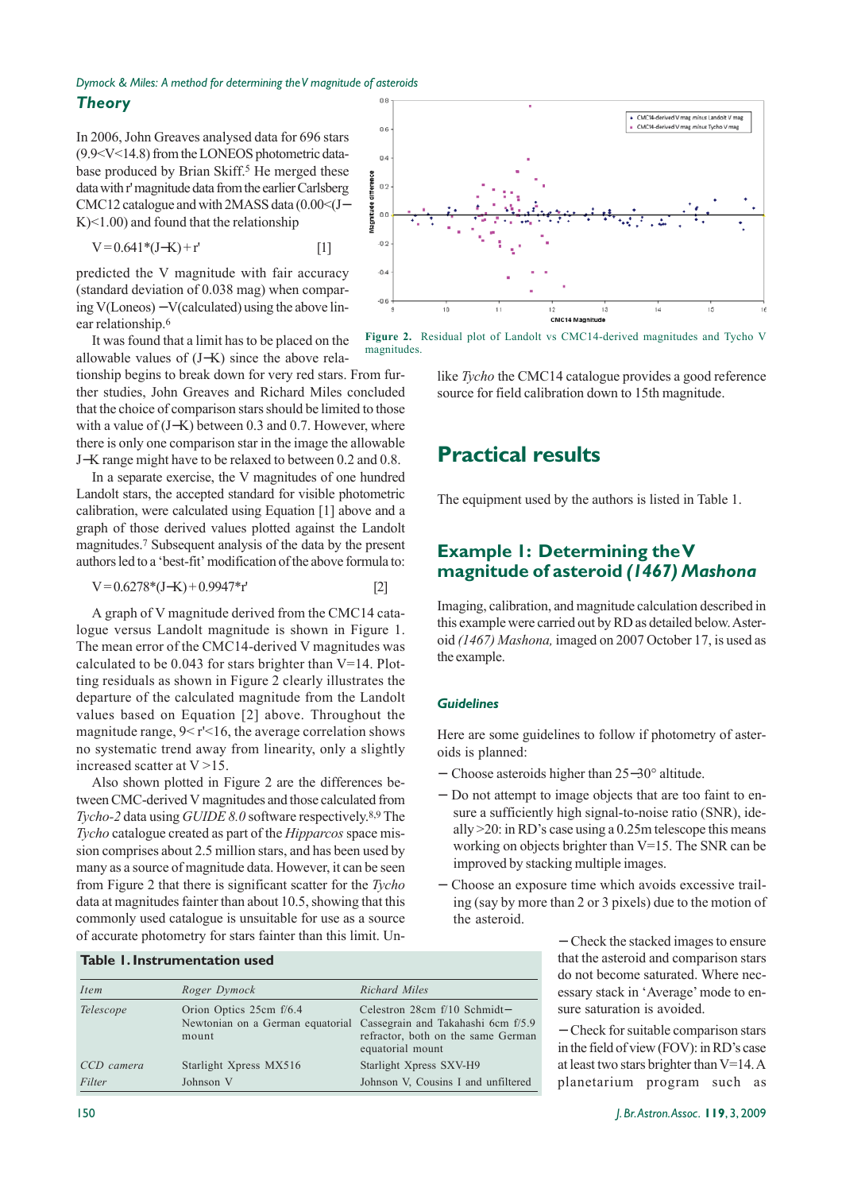#### *Dymock & Miles: A method for determining the V magnitude of asteroids*  $0.8$ *Theory*

In 2006, John Greaves analysed data for 696 stars (9.9<V<14.8) from the LONEOS photometric database produced by Brian Skiff.<sup>5</sup> He merged these data with r' magnitude data from the earlier Carlsberg CMC12 catalogue and with 2MASS data (0.00<(J− K)<1.00) and found that the relationship

 $V = 0.641*(J-K) + r'$  [1]

predicted the V magnitude with fair accuracy (standard deviation of 0.038 mag) when comparing V(Loneos) − V(calculated) using the above linear relationship.6

It was found that a limit has to be placed on the allowable values of (J−K) since the above rela-

tionship begins to break down for very red stars. From further studies, John Greaves and Richard Miles concluded that the choice of comparison stars should be limited to those with a value of (J−K) between 0.3 and 0.7. However, where there is only one comparison star in the image the allowable J−K range might have to be relaxed to between 0.2 and 0.8.

In a separate exercise, the V magnitudes of one hundred Landolt stars, the accepted standard for visible photometric calibration, were calculated using Equation [1] above and a graph of those derived values plotted against the Landolt magnitudes.7 Subsequent analysis of the data by the present authors led to a 'best-fit' modification of the above formula to:

$$
V = 0.6278*(J-K) + 0.9947*r'
$$
 [2]

A graph of V magnitude derived from the CMC14 catalogue versus Landolt magnitude is shown in Figure 1. The mean error of the CMC14-derived V magnitudes was calculated to be 0.043 for stars brighter than V=14. Plotting residuals as shown in Figure 2 clearly illustrates the departure of the calculated magnitude from the Landolt values based on Equation [2] above. Throughout the magnitude range, 9< r'<16, the average correlation shows no systematic trend away from linearity, only a slightly increased scatter at V >15.

Also shown plotted in Figure 2 are the differences between CMC-derived V magnitudes and those calculated from *Tycho-2* data using *GUIDE 8.0* software respectively.8,9 The *Tycho* catalogue created as part of the *Hipparcos* space mission comprises about 2.5 million stars, and has been used by many as a source of magnitude data. However, it can be seen from Figure 2 that there is significant scatter for the *Tycho* data at magnitudes fainter than about 10.5, showing that this commonly used catalogue is unsuitable for use as a source of accurate photometry for stars fainter than this limit. Un-

#### **Table 1. Instrumentation used**

| Item       | Roger Dymock                     | Richard Miles                                                                                                                                                 |
|------------|----------------------------------|---------------------------------------------------------------------------------------------------------------------------------------------------------------|
| Telescope  | Orion Optics 25cm f/6.4<br>mount | Celestron 28cm f/10 Schmidt-<br>Newtonian on a German equatorial Cassegrain and Takahashi 6cm f/5.9<br>refractor, both on the same German<br>equatorial mount |
| CCD camera | Starlight Xpress MX516           | Starlight Xpress SXV-H9                                                                                                                                       |
| Filter     | Johnson V                        | Johnson V. Cousins I and unfiltered                                                                                                                           |



**Figure 2.** Residual plot of Landolt vs CMC14-derived magnitudes and Tycho V magnitudes.

like *Tycho* the CMC14 catalogue provides a good reference source for field calibration down to 15th magnitude.

# **Practical results**

The equipment used by the authors is listed in Table 1.

### **Example 1: Determining the V magnitude of asteroid** *(1467) Mashona*

Imaging, calibration, and magnitude calculation described in this example were carried out by RD as detailed below. Asteroid *(1467) Mashona,* imaged on 2007 October 17, is used as the example.

#### *Guidelines*

Here are some guidelines to follow if photometry of asteroids is planned:

- − Choose asteroids higher than 25−30° altitude.
- − Do not attempt to image objects that are too faint to ensure a sufficiently high signal-to-noise ratio (SNR), ideally >20: in RD's case using a 0.25m telescope this means working on objects brighter than V=15. The SNR can be improved by stacking multiple images.
- − Choose an exposure time which avoids excessive trailing (say by more than 2 or 3 pixels) due to the motion of the asteroid.

− Check the stacked images to ensure that the asteroid and comparison stars do not become saturated. Where necessary stack in 'Average' mode to ensure saturation is avoided.

− Check for suitable comparison stars in the field of view (FOV): in RD's case at least two stars brighter than V=14. A planetarium program such as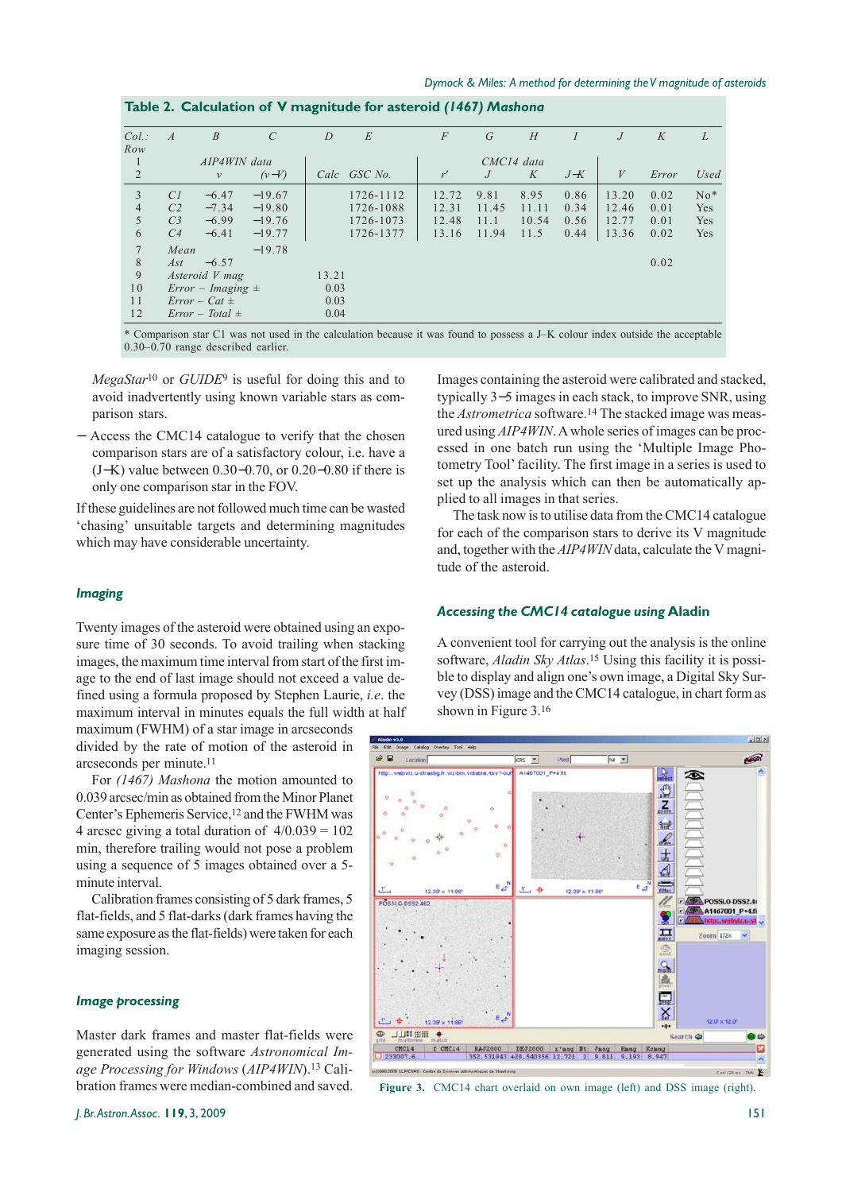| $Col.$ :       | $\overline{A}$ | $\overline{B}$        | $\mathcal{C}$ | $\overline{D}$ | E            | $\overline{F}$ | G     | H     | $\overline{I}$ | $\overline{J}$   | K     | L     |
|----------------|----------------|-----------------------|---------------|----------------|--------------|----------------|-------|-------|----------------|------------------|-------|-------|
| Row            |                |                       |               |                |              |                |       |       |                |                  |       |       |
| 1              | AIP4WIN data   |                       |               |                | CMC14 data   |                |       |       |                |                  |       |       |
| $\overline{2}$ |                | $\nu$                 | $(v-V)$       |                | Calc GSC No. | r'             | J     | K     | $J-K$          | $\boldsymbol{V}$ | Error | Used  |
| 3              | CI             | $-6.47$               | $-19.67$      |                | 1726-1112    | 12.72          | 9.81  | 8.95  | 0.86           | 13.20            | 0.02  | $No*$ |
| $\overline{4}$ | C <sub>2</sub> | $-7.34$               | $-19.80$      |                | 1726-1088    | 12.31          | 11.45 | 11.11 | 0.34           | 12.46            | 0.01  | Yes   |
| 5              | C <sub>3</sub> | $-6.99$               | $-19.76$      |                | 1726-1073    | 12.48          | 11.1  | 10.54 | 0.56           | 12.77            | 0.01  | Yes   |
| 6              | C <sub>4</sub> | $-6.41$               | $-19.77$      |                | 1726-1377    | 13.16          | 11.94 | 11.5  | 0.44           | 13.36            | 0.02  | Yes   |
| $\overline{7}$ | Mean           |                       | $-19.78$      |                |              |                |       |       |                |                  |       |       |
| 8              | Ast            | $-6.57$               |               |                |              |                |       |       |                |                  | 0.02  |       |
| 9              |                | Asteroid V mag        |               | 13.21          |              |                |       |       |                |                  |       |       |
| 10             |                | $Error - Imaging \pm$ |               | 0.03           |              |                |       |       |                |                  |       |       |
| 11             |                | $Error - Cat \pm$     |               | 0.03           |              |                |       |       |                |                  |       |       |
| 12             |                | $Error - Total \pm$   |               | 0.04           |              |                |       |       |                |                  |       |       |

\* Comparison star C1 was not used in the calculation because it was found to possess a J–K colour index outside the acceptable 0.30–0.70 range described earlier.

*MegaStar*10 or *GUIDE*9 is useful for doing this and to avoid inadvertently using known variable stars as comparison stars.

− Access the CMC14 catalogue to verify that the chosen comparison stars are of a satisfactory colour, i.e. have a (J−K) value between 0.30−0.70, or 0.20−0.80 if there is only one comparison star in the FOV.

If these guidelines are not followed much time can be wasted 'chasing' unsuitable targets and determining magnitudes which may have considerable uncertainty.

#### *Imaging*

Twenty images of the asteroid were obtained using an exposure time of 30 seconds. To avoid trailing when stacking images, the maximum time interval from start of the first image to the end of last image should not exceed a value defined using a formula proposed by Stephen Laurie, *i.e*. the maximum interval in minutes equals the full width at half

maximum (FWHM) of a star image in arcseconds divided by the rate of motion of the asteroid in arcseconds per minute.11

For *(1467) Mashona* the motion amounted to 0.039 arcsec/min as obtained from the Minor Planet Center's Ephemeris Service,12 and the FWHM was 4 arcsec giving a total duration of  $4/0.039 = 102$ min, therefore trailing would not pose a problem using a sequence of 5 images obtained over a 5 minute interval.

Calibration frames consisting of 5 dark frames, 5 flat-fields, and 5 flat-darks (dark frames having the same exposure as the flat-fields) were taken for each imaging session.

#### *Image processing*

Master dark frames and master flat-fields were generated using the software *Astronomical Image Processing for Windows* (*AIP4WIN*).13 Calibration frames were median-combined and saved.

Images containing the asteroid were calibrated and stacked, typically 3−5 images in each stack, to improve SNR, using the *Astrometrica* software.14 The stacked image was measured using *AIP4WIN*. A whole series of images can be processed in one batch run using the 'Multiple Image Photometry Tool' facility. The first image in a series is used to set up the analysis which can then be automatically applied to all images in that series.

The task now is to utilise data from the CMC14 catalogue for each of the comparison stars to derive its V magnitude and, together with the *AIP4WIN* data, calculate the V magnitude of the asteroid.

#### *Accessing the CMC14 catalogue using* **Aladin**

A convenient tool for carrying out the analysis is the online software, *Aladin Sky Atlas*.15 Using this facility it is possible to display and align one's own image, a Digital Sky Survey (DSS) image and the CMC14 catalogue, in chart form as shown in Figure 3.16



Figure 3. CMC14 chart overlaid on own image (left) and DSS image (right).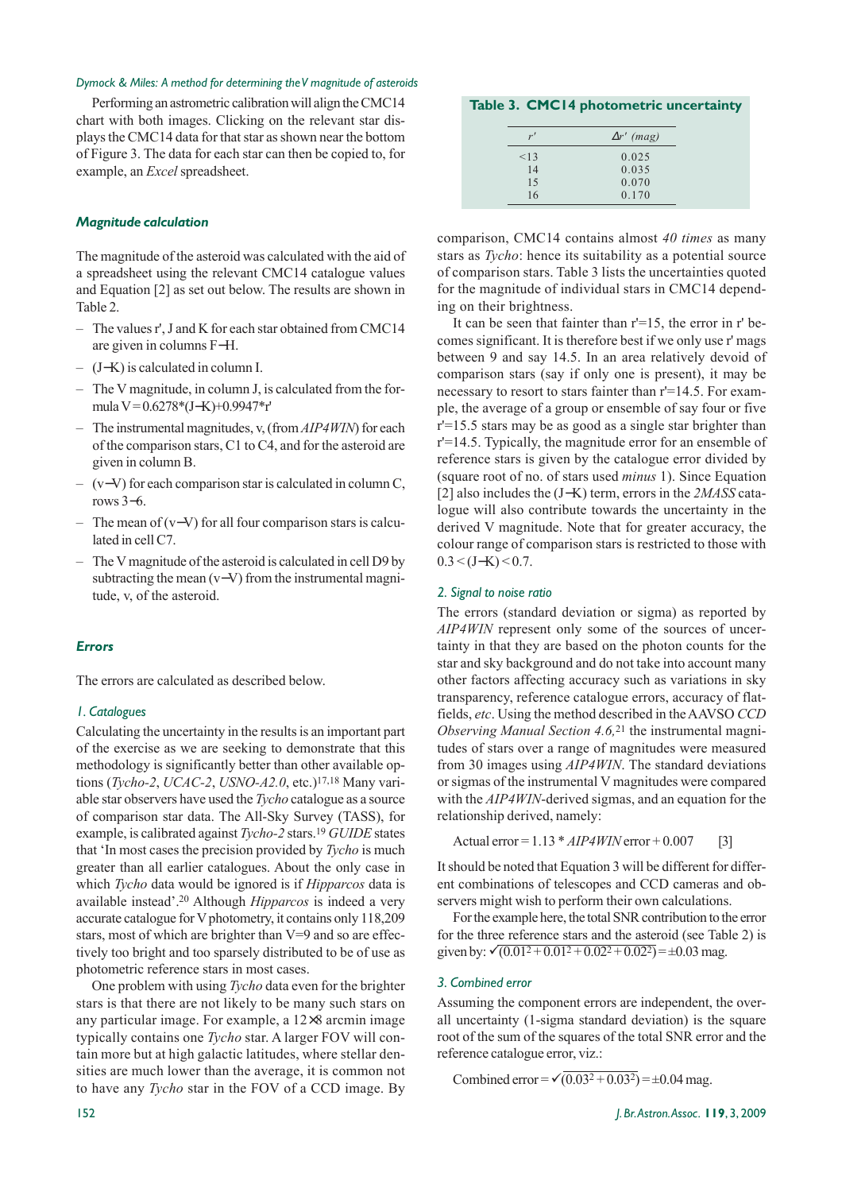#### *Dymock & Miles: A method for determining the V magnitude of asteroids*

Performing an astrometric calibration will align the CMC14 chart with both images. Clicking on the relevant star displays the CMC14 data for that star as shown near the bottom of Figure 3. The data for each star can then be copied to, for example, an *Excel* spreadsheet.

#### *Magnitude calculation*

The magnitude of the asteroid was calculated with the aid of a spreadsheet using the relevant CMC14 catalogue values and Equation [2] as set out below. The results are shown in Table 2.

- The values r', J and K for each star obtained from CMC14 are given in columns F−H.
- (J−K) is calculated in column I.
- The V magnitude, in column J, is calculated from the formula V = 0.6278\*(J−K)+0.9947\*r'
- The instrumental magnitudes, v, (from *AIP4WIN*) for each of the comparison stars, C1 to C4, and for the asteroid are given in column B.
- (v−V) for each comparison star is calculated in column C, rows 3−6.
- The mean of  $(v-V)$  for all four comparison stars is calculated in cell C7.
- The V magnitude of the asteroid is calculated in cell D9 by subtracting the mean (v−V) from the instrumental magnitude, v, of the asteroid.

#### *Errors*

The errors are calculated as described below.

#### *1. Catalogues*

Calculating the uncertainty in the results is an important part of the exercise as we are seeking to demonstrate that this methodology is significantly better than other available options (*Tycho-2*, *UCAC-2*, *USNO-A2.0*, etc.)17,18 Many variable star observers have used the *Tycho* catalogue as a source of comparison star data. The All-Sky Survey (TASS), for example, is calibrated against *Tycho-2* stars.19 *GUIDE* states that 'In most cases the precision provided by *Tycho* is much greater than all earlier catalogues. About the only case in which *Tycho* data would be ignored is if *Hipparcos* data is available instead'.20 Although *Hipparcos* is indeed a very accurate catalogue for V photometry, it contains only 118,209 stars, most of which are brighter than V=9 and so are effectively too bright and too sparsely distributed to be of use as photometric reference stars in most cases.

One problem with using *Tycho* data even for the brighter stars is that there are not likely to be many such stars on any particular image. For example, a 12×8 arcmin image typically contains one *Tycho* star. A larger FOV will contain more but at high galactic latitudes, where stellar densities are much lower than the average, it is common not to have any *Tycho* star in the FOV of a CCD image. By

#### **Table 3. CMC14 photometric uncertainty**

| r'   | $\Delta r'$ (mag) |
|------|-------------------|
| < 13 | 0.025             |
| 14   | 0.035             |
| 15   | 0.070             |
| 16   | 0.170             |

comparison, CMC14 contains almost *40 times* as many stars as *Tycho*: hence its suitability as a potential source of comparison stars. Table 3 lists the uncertainties quoted for the magnitude of individual stars in CMC14 depending on their brightness.

It can be seen that fainter than r'=15, the error in r' becomes significant. It is therefore best if we only use r' mags between 9 and say 14.5. In an area relatively devoid of comparison stars (say if only one is present), it may be necessary to resort to stars fainter than r'=14.5. For example, the average of a group or ensemble of say four or five r'=15.5 stars may be as good as a single star brighter than r'=14.5. Typically, the magnitude error for an ensemble of reference stars is given by the catalogue error divided by (square root of no. of stars used *minus* 1). Since Equation [2] also includes the (J−K) term, errors in the *2MASS* catalogue will also contribute towards the uncertainty in the derived V magnitude. Note that for greater accuracy, the colour range of comparison stars is restricted to those with  $0.3 \leq (J-K) \leq 0.7$ .

#### *2. Signal to noise ratio*

The errors (standard deviation or sigma) as reported by *AIP4WIN* represent only some of the sources of uncertainty in that they are based on the photon counts for the star and sky background and do not take into account many other factors affecting accuracy such as variations in sky transparency, reference catalogue errors, accuracy of flatfields, *etc*. Using the method described in the AAVSO *CCD Observing Manual Section 4.6,*<sup>21</sup> the instrumental magnitudes of stars over a range of magnitudes were measured from 30 images using *AIP4WIN*. The standard deviations or sigmas of the instrumental V magnitudes were compared with the *AIP4WIN*-derived sigmas, and an equation for the relationship derived, namely:

```
Actual error = 1.13 * AIP4WIN error + 0.007 [3]
```
It should be noted that Equation 3 will be different for different combinations of telescopes and CCD cameras and observers might wish to perform their own calculations.

For the example here, the total SNR contribution to the error for the three reference stars and the asteroid (see Table 2) is given by:  $\sqrt{(0.01^2 + 0.01^2 + 0.02^2 + 0.02^2)} = \pm 0.03$  mag.

#### *3. Combined error*

Assuming the component errors are independent, the overall uncertainty (1-sigma standard deviation) is the square root of the sum of the squares of the total SNR error and the reference catalogue error, viz.:

Combined error =  $\sqrt{(0.03^2 + 0.03^2)}$  = ±0.04 mag.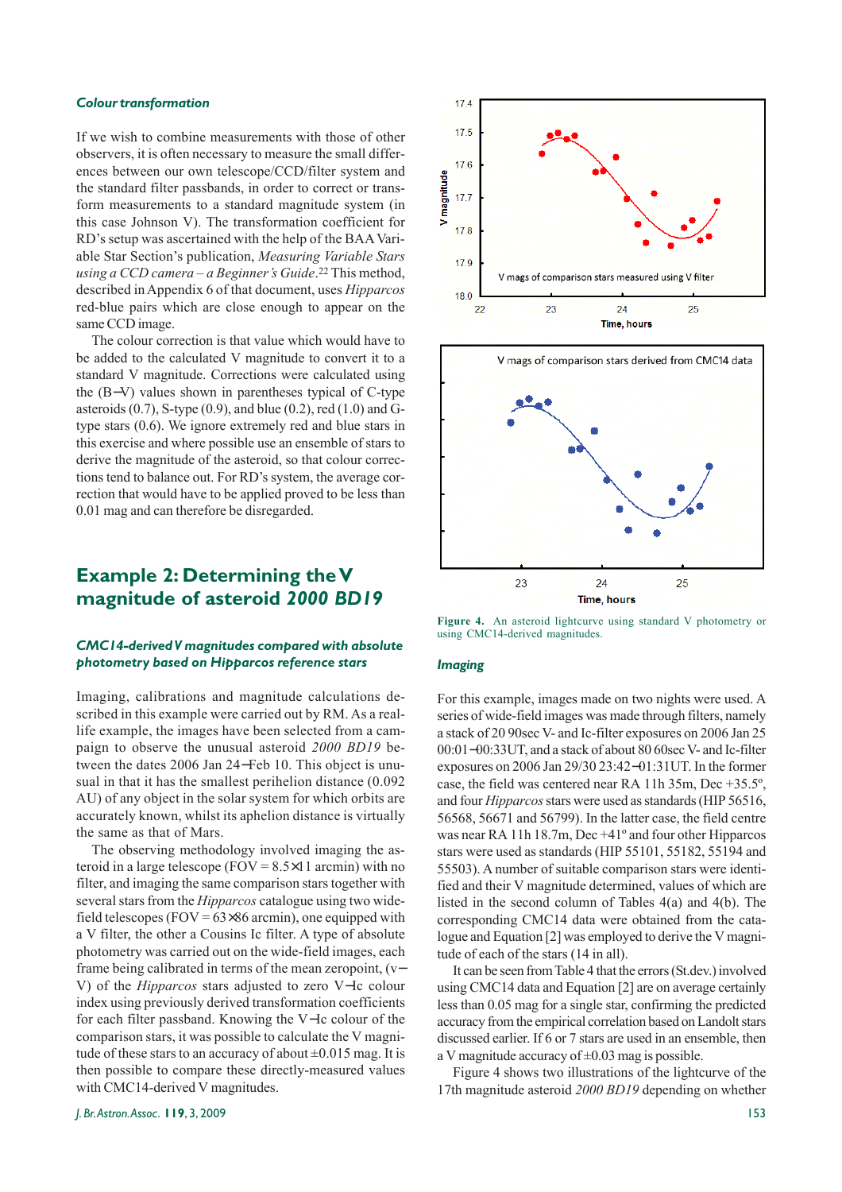#### *Colour transformation*

If we wish to combine measurements with those of other observers, it is often necessary to measure the small differences between our own telescope/CCD/filter system and the standard filter passbands, in order to correct or transform measurements to a standard magnitude system (in this case Johnson V). The transformation coefficient for RD's setup was ascertained with the help of the BAA Variable Star Section's publication, *Measuring Variable Stars using a CCD camera – a Beginner's Guide*.22 This method, described in Appendix 6 of that document, uses *Hipparcos* red-blue pairs which are close enough to appear on the same CCD image.

The colour correction is that value which would have to be added to the calculated V magnitude to convert it to a standard V magnitude. Corrections were calculated using the (B−V) values shown in parentheses typical of C-type asteroids (0.7), S-type (0.9), and blue (0.2), red (1.0) and Gtype stars (0.6). We ignore extremely red and blue stars in this exercise and where possible use an ensemble of stars to derive the magnitude of the asteroid, so that colour corrections tend to balance out. For RD's system, the average correction that would have to be applied proved to be less than 0.01 mag and can therefore be disregarded.

### **Example 2: Determining the V magnitude of asteroid** *2000 BD19*

#### *CMC14-derived V magnitudes compared with absolute photometry based on Hipparcos reference stars*

Imaging, calibrations and magnitude calculations described in this example were carried out by RM. As a reallife example, the images have been selected from a campaign to observe the unusual asteroid *2000 BD19* between the dates 2006 Jan 24−Feb 10. This object is unusual in that it has the smallest perihelion distance (0.092 AU) of any object in the solar system for which orbits are accurately known, whilst its aphelion distance is virtually the same as that of Mars.

The observing methodology involved imaging the asteroid in a large telescope (FOV =  $8.5 \times 11$  arcmin) with no filter, and imaging the same comparison stars together with several stars from the *Hipparcos* catalogue using two widefield telescopes (FOV =  $63\times86$  arcmin), one equipped with a V filter, the other a Cousins Ic filter. A type of absolute photometry was carried out on the wide-field images, each frame being calibrated in terms of the mean zeropoint, (v− V) of the *Hipparcos* stars adjusted to zero V−Ic colour index using previously derived transformation coefficients for each filter passband. Knowing the V−Ic colour of the comparison stars, it was possible to calculate the V magnitude of these stars to an accuracy of about  $\pm 0.015$  mag. It is then possible to compare these directly-measured values with CMC14-derived V magnitudes.





**Figure 4.** An asteroid lightcurve using standard V photometry or using CMC14-derived magnitudes.

#### *Imaging*

For this example, images made on two nights were used. A series of wide-field images was made through filters, namely a stack of 20 90sec V- and Ic-filter exposures on 2006 Jan 25 00:01−00:33UT, and a stack of about 80 60sec V- and Ic-filter exposures on 2006 Jan 29/30 23:42−01:31UT. In the former case, the field was centered near RA 11h 35m, Dec +35.5º, and four *Hipparcos* stars were used as standards (HIP 56516, 56568, 56671 and 56799). In the latter case, the field centre was near RA 11h 18.7m, Dec +41º and four other Hipparcos stars were used as standards (HIP 55101, 55182, 55194 and 55503). A number of suitable comparison stars were identified and their V magnitude determined, values of which are listed in the second column of Tables 4(a) and 4(b). The corresponding CMC14 data were obtained from the catalogue and Equation [2] was employed to derive the V magnitude of each of the stars (14 in all).

It can be seen from Table 4 that the errors (St.dev.) involved using CMC14 data and Equation [2] are on average certainly less than 0.05 mag for a single star, confirming the predicted accuracy from the empirical correlation based on Landolt stars discussed earlier. If 6 or 7 stars are used in an ensemble, then a V magnitude accuracy of  $\pm 0.03$  mag is possible.

Figure 4 shows two illustrations of the lightcurve of the 17th magnitude asteroid *2000 BD19* depending on whether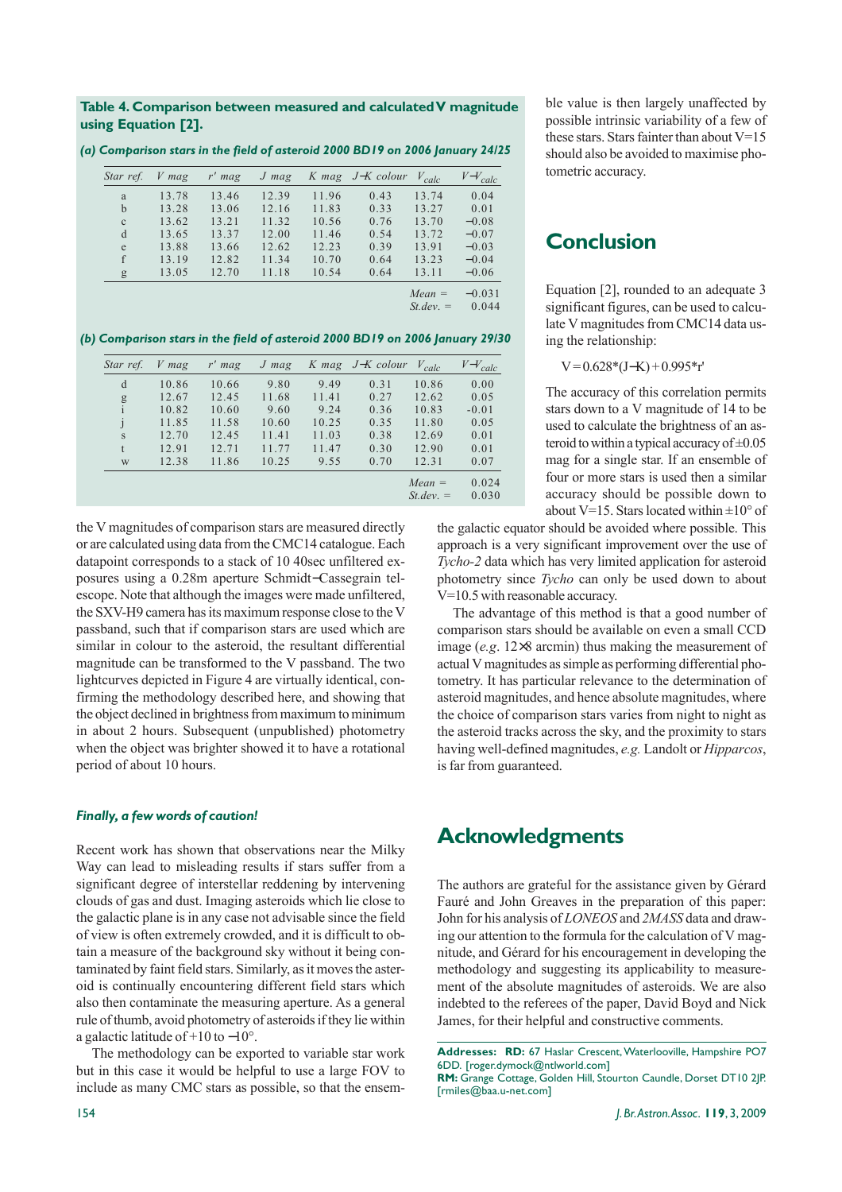#### **Table 4. Comparison between measured and calculated V magnitude using Equation [2].**

| Star ref.    | $V$ mag | $r'$ mag | $J$ mag |       | K mag J-K colour | $V_{calc}$ | $V-V_{calc}$ |
|--------------|---------|----------|---------|-------|------------------|------------|--------------|
| a            | 13.78   | 13.46    | 12.39   | 11.96 | 0.43             | 13.74      | 0.04         |
| $\mathbf b$  | 13.28   | 13.06    | 12.16   | 11.83 | 0.33             | 13.27      | 0.01         |
| $\mathbf{C}$ | 13.62   | 13.21    | 11.32   | 10.56 | 0.76             | 13.70      | $-0.08$      |
| d            | 13.65   | 13.37    | 12.00   | 11.46 | 0.54             | 13.72      | $-0.07$      |
| e            | 13.88   | 13.66    | 12.62   | 12.23 | 0.39             | 13.91      | $-0.03$      |
|              | 13.19   | 12.82    | 11.34   | 10.70 | 0.64             | 13.23      | $-0.04$      |
| g            | 13.05   | 12.70    | 11.18   | 10.54 | 0.64             | 13.11      | $-0.06$      |

*(a) Comparison stars in the field of asteroid 2000 BD19 on 2006 January 24/25*

*Mean* =  $-0.031$ <br>*St dev* =  $0.044$ 

 $St dev =$ 

*(b) Comparison stars in the field of asteroid 2000 BD19 on 2006 January 29/30*

| Star ref.     | V mag | $r'$ mag | $J$ mag | K mag | J-K colour | $V_{calc}$               | $V-V_{calc}$   |
|---------------|-------|----------|---------|-------|------------|--------------------------|----------------|
| d             | 10.86 | 10.66    | 9.80    | 9.49  | 0.31       | 10.86                    | 0.00           |
|               | 12.67 | 12.45    | 11.68   | 11.41 | 0.27       | 12.62                    | 0.05           |
| $\frac{g}{i}$ | 10.82 | 10.60    | 9.60    | 9.24  | 0.36       | 10.83                    | $-0.01$        |
| j             | 11.85 | 11.58    | 10.60   | 10.25 | 0.35       | 11.80                    | 0.05           |
| S             | 12.70 | 12.45    | 11.41   | 11.03 | 0.38       | 12.69                    | 0.01           |
| t             | 12.91 | 12.71    | 11.77   | 11.47 | 0.30       | 12.90                    | 0.01           |
| W             | 12.38 | 11.86    | 10.25   | 9.55  | 0.70       | 12.31                    | 0.07           |
|               |       |          |         |       |            | $Mean =$<br>$St. dev. =$ | 0.024<br>0.030 |

the V magnitudes of comparison stars are measured directly or are calculated using data from the CMC14 catalogue. Each datapoint corresponds to a stack of 10 40sec unfiltered exposures using a 0.28m aperture Schmidt−Cassegrain telescope. Note that although the images were made unfiltered, the SXV-H9 camera has its maximum response close to the V passband, such that if comparison stars are used which are similar in colour to the asteroid, the resultant differential magnitude can be transformed to the V passband. The two lightcurves depicted in Figure 4 are virtually identical, confirming the methodology described here, and showing that the object declined in brightness from maximum to minimum in about 2 hours. Subsequent (unpublished) photometry when the object was brighter showed it to have a rotational period of about 10 hours.

#### *Finally, a few words of caution!*

Recent work has shown that observations near the Milky Way can lead to misleading results if stars suffer from a significant degree of interstellar reddening by intervening clouds of gas and dust. Imaging asteroids which lie close to the galactic plane is in any case not advisable since the field of view is often extremely crowded, and it is difficult to obtain a measure of the background sky without it being contaminated by faint field stars. Similarly, as it moves the asteroid is continually encountering different field stars which also then contaminate the measuring aperture. As a general rule of thumb, avoid photometry of asteroids if they lie within a galactic latitude of +10 to −10°.

The methodology can be exported to variable star work but in this case it would be helpful to use a large FOV to include as many CMC stars as possible, so that the ensemble value is then largely unaffected by possible intrinsic variability of a few of these stars. Stars fainter than about  $V=15$ should also be avoided to maximise photometric accuracy.

# **Conclusion**

Equation [2], rounded to an adequate 3 significant figures, can be used to calculate V magnitudes from CMC14 data using the relationship:

 $V = 0.628*(J-K) + 0.995*<sub>r</sub>$ 

The accuracy of this correlation permits stars down to a V magnitude of 14 to be used to calculate the brightness of an asteroid to within a typical accuracy of  $\pm 0.05$ mag for a single star. If an ensemble of four or more stars is used then a similar accuracy should be possible down to about V=15. Stars located within  $\pm 10^{\circ}$  of

the galactic equator should be avoided where possible. This approach is a very significant improvement over the use of *Tycho-2* data which has very limited application for asteroid photometry since *Tycho* can only be used down to about V=10.5 with reasonable accuracy.

The advantage of this method is that a good number of comparison stars should be available on even a small CCD image (*e.g*. 12×8 arcmin) thus making the measurement of actual V magnitudes as simple as performing differential photometry. It has particular relevance to the determination of asteroid magnitudes, and hence absolute magnitudes, where the choice of comparison stars varies from night to night as the asteroid tracks across the sky, and the proximity to stars having well-defined magnitudes, *e.g.* Landolt or *Hipparcos*, is far from guaranteed.

## **Acknowledgments**

The authors are grateful for the assistance given by Gérard Fauré and John Greaves in the preparation of this paper: John for his analysis of *LONEOS* and *2MASS* data and drawing our attention to the formula for the calculation of V magnitude, and Gérard for his encouragement in developing the methodology and suggesting its applicability to measurement of the absolute magnitudes of asteroids. We are also indebted to the referees of the paper, David Boyd and Nick James, for their helpful and constructive comments.

**Addresses: RD:** 67 Haslar Crescent, Waterlooville, Hampshire PO7 6DD. [roger.dymock@ntlworld.com] **RM:** Grange Cottage, Golden Hill, Stourton Caundle, Dorset DT10 2JP. [rmiles@baa.u-net.com]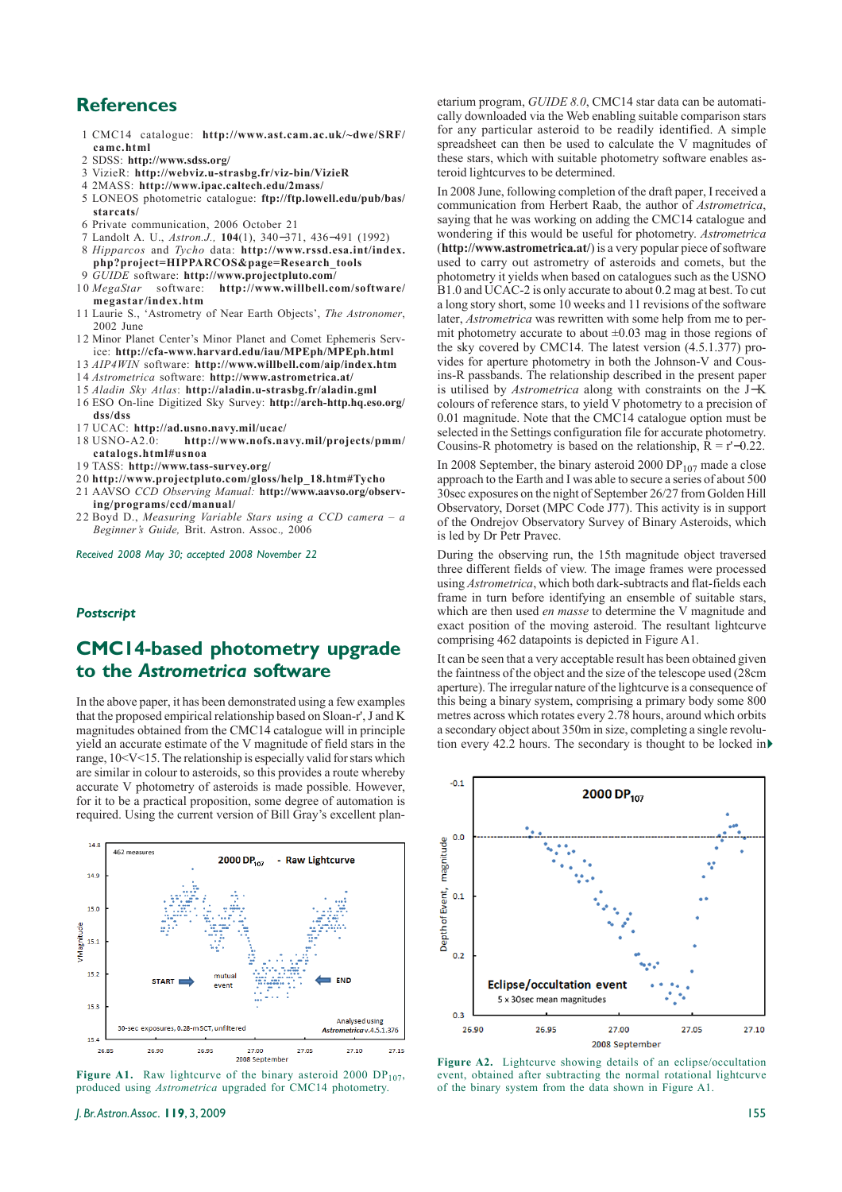### **References**

- 1 CMC14 catalogue: **http://www.ast.cam.ac.uk/~dwe/SRF/ camc.html**
- 2 SDSS: **http://www.sdss.org/**
- 3 VizieR: **http://webviz.u-strasbg.fr/viz-bin/VizieR**
- 4 2MASS: **http://www.ipac.caltech.edu/2mass/**
- 5 LONEOS photometric catalogue: **ftp://ftp.lowell.edu/pub/bas/ starcats/**
- 6 Private communication, 2006 October 21
- 7 Landolt A. U., *Astron.J.,* **104**(1), 340−371, 436−491 (1992)
- 8 *Hipparcos* and *Tycho* data: **http://www.rssd.esa.int/index. php?project=HIPPARCOS&page=Research\_tools** 9 *GUIDE* software: **http://www.projectpluto.com/**
- 
- 1 0 *MegaStar* software: **http://www.willbell.com/software/ megastar/index.htm**
- 11 Laurie S., 'Astrometry of Near Earth Objects', *The Astronomer*, 2002 June
- 1 2 Minor Planet Center's Minor Planet and Comet Ephemeris Service: **http://cfa-www.harvard.edu/iau/MPEph/MPEph.html**
- 1 3 *AIP4WIN* software: **http://www.willbell.com/aip/index.htm** 1 4 *Astrometrica* software: **http://www.astrometrica.at/**
- 1 5 *Aladin Sky Atlas*: **http://aladin.u-strasbg.fr/aladin.gml**
- 16 ESO On-line Digitized Sky Survey: **http://arch-http.hq.eso.org/**
- **dss/dss**
- 
- 17 UCAC: **http://ad.usno.navy.mil/ucac/** http://www.nofs.navy.mil/projects/pmm/ **catalogs.html#usnoa**
- 1 9 TASS: **http://www.tass-survey.org/**
- 2 0 **http://www.projectpluto.com/gloss/help\_18.htm#Tycho**
- 2 1 AAVSO *CCD Observing Manual:* **http://www.aavso.org/observ-**
- **ing/programs/ccd/manual/** 22 Boyd D., *Measuring Variable Stars using a CCD camera – a Beginner's Guide,* Brit. Astron. Assoc.*,* 2006

*Received 2008 May 30; accepted 2008 November 22*

#### *Postscript*

### **CMC14-based photometry upgrade to the** *Astrometrica* **software**

In the above paper, it has been demonstrated using a few examples that the proposed empirical relationship based on Sloan-r', J and K magnitudes obtained from the CMC14 catalogue will in principle yield an accurate estimate of the V magnitude of field stars in the range, 10<V<15. The relationship is especially valid for stars which are similar in colour to asteroids, so this provides a route whereby accurate V photometry of asteroids is made possible. However, for it to be a practical proposition, some degree of automation is required. Using the current version of Bill Gray's excellent plan-





etarium program, *GUIDE 8.0*, CMC14 star data can be automatically downloaded via the Web enabling suitable comparison stars for any particular asteroid to be readily identified. A simple spreadsheet can then be used to calculate the V magnitudes of these stars, which with suitable photometry software enables asteroid lightcurves to be determined.

In 2008 June, following completion of the draft paper, I received a communication from Herbert Raab, the author of *Astrometrica*, saying that he was working on adding the CMC14 catalogue and wondering if this would be useful for photometry. *Astrometrica* (**http://www.astrometrica.at/**) is a very popular piece of software used to carry out astrometry of asteroids and comets, but the photometry it yields when based on catalogues such as the USNO B1.0 and UCAC-2 is only accurate to about 0.2 mag at best. To cut a long story short, some 10 weeks and 11 revisions of the software later, *Astrometrica* was rewritten with some help from me to permit photometry accurate to about  $\pm 0.03$  mag in those regions of the sky covered by CMC14. The latest version (4.5.1.377) provides for aperture photometry in both the Johnson-V and Cousins-R passbands. The relationship described in the present paper is utilised by *Astrometrica* along with constraints on the J−K colours of reference stars, to yield V photometry to a precision of  $0.01$  magnitude. Note that the CMC $14$  catalogue option must be selected in the Settings configuration file for accurate photometry. Cousins-R photometry is based on the relationship,  $\hat{R} = r'$ –0.22.

In 2008 September, the binary asteroid 2000 DP $_{107}$  made a close approach to the Earth and I was able to secure a series of about 500 30sec exposures on the night of September 26/27 from Golden Hill Observatory, Dorset (MPC Code J77). This activity is in support of the Ondrejov Observatory Survey of Binary Asteroids, which is led by Dr Petr Pravec.

During the observing run, the 15th magnitude object traversed three different fields of view. The image frames were processed using *Astrometrica*, which both dark-subtracts and flat-fields each frame in turn before identifying an ensemble of suitable stars, which are then used *en masse* to determine the V magnitude and exact position of the moving asteroid. The resultant lightcurve comprising 462 datapoints is depicted in Figure A1.

It can be seen that a very acceptable result has been obtained given the faintness of the object and the size of the telescope used (28cm aperture). The irregular nature of the lightcurve is a consequence of this being a binary system, comprising a primary body some 800 metres across which rotates every 2.78 hours, around which orbits a secondary object about 350m in size, completing a single revolution every 42.2 hours. The secondary is thought to be locked in



**Figure A2.** Lightcurve showing details of an eclipse/occultation event, obtained after subtracting the normal rotational lightcurve of the binary system from the data shown in Figure A1.